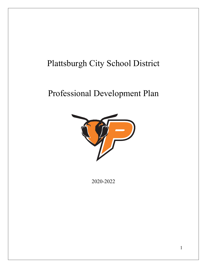# Plattsburgh City School District

## Professional Development Plan



2020-2022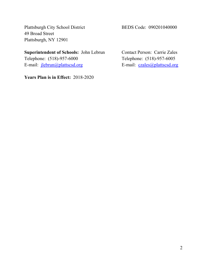Plattsburgh City School District BEDS Code: 090201040000 49 Broad Street Plattsburgh, NY 12901

**Superintendent of Schools:** John Lebrun Contact Person: Carrie Zales Telephone: (518)-957-6000 Telephone: (518)-957-6005 E-mail: [jlebrun@plattscsd.org](mailto:jlebrun@plattscsd.org) <br>E-mail: [czales@plattscsd.org](mailto:czales@plattscsd.org)

**Years Plan is in Effect:** 2018-2020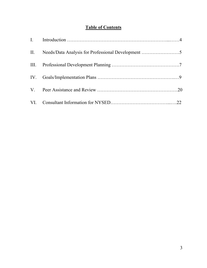## **Table of Contents**

| II. Needs/Data Analysis for Professional Development 5 |  |
|--------------------------------------------------------|--|
|                                                        |  |
|                                                        |  |
|                                                        |  |
|                                                        |  |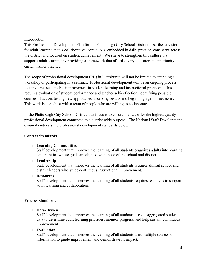#### Introduction

This Professional Development Plan for the Plattsburgh City School District describes a vision for adult learning that is collaborative, continuous, embedded in daily practice, consistent across the district and focused on student achievement. We strive to strengthen this culture that supports adult learning by providing a framework that affords every educator an opportunity to enrich his/her practice.

The scope of professional development (PD) in Plattsburgh will not be limited to attending a workshop or participating in a seminar. Professional development will be an ongoing process that involves sustainable improvement in student learning and instructional practices. This requires evaluation of student performance and teacher self-reflection, identifying possible courses of action, testing new approaches, assessing results and beginning again if necessary. This work is done best with a team of people who are willing to collaborate.

In the Plattsburgh City School District, our focus is to ensure that we offer the highest quality professional development connected to a district wide purpose. The National Staff Development Council endorses the professional development standards below:

#### **Context Standards**

#### **Learning Communities**

Staff development that improves the learning of all students organizes adults into learning communities whose goals are aligned with those of the school and district.

#### **Leadership**

Staff development that improves the learning of all students requires skillful school and district leaders who guide continuous instructional improvement.

#### **Resources**

Staff development that improves the learning of all students requires resources to support adult learning and collaboration.

#### **Process Standards**

#### **Data-Driven**

Staff development that improves the learning of all students uses disaggregated student data to determine adult learning priorities, monitor progress, and help sustain continuous improvement.

#### **Evaluation**

Staff development that improves the learning of all students uses multiple sources of information to guide improvement and demonstrate its impact.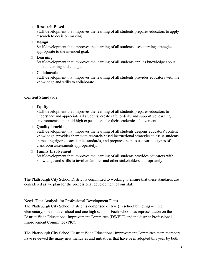#### **Research-Based**

Staff development that improves the learning of all students prepares educators to apply research to decision making.

#### **Design**

Staff development that improves the learning of all students uses learning strategies appropriate to the intended goal.

#### **Learning**

Staff development that improves the learning of all students applies knowledge about human learning and change.

#### **Collaboration**

Staff development that improves the learning of all students provides educators with the knowledge and skills to collaborate.

#### **Content Standards**

#### **Equity**

Staff development that improves the learning of all students prepares educators to understand and appreciate all students; create safe, orderly and supportive learning environments; and hold high expectations for their academic achievement.

#### **Quality Teaching**

Staff development that improves the learning of all students deepens educators' content knowledge, provides them with research-based instructional strategies to assist students in meeting rigorous academic standards, and prepares them to use various types of classroom assessments appropriately.

#### **Family Involvement**

Staff development that improves the learning of all students provides educators with knowledge and skills to involve families and other stakeholders appropriately.

The Plattsburgh City School District is committed to working to ensure that these standards are considered as we plan for the professional development of our staff.

#### Needs/Data Analysis for Professional Development Plans

The Plattsburgh City School District is comprised of five (5) school buildings – three elementary, one middle school and one high school. Each school has representation on the District Wide Educational Improvement Committee (DWEIC) and the district Professional Improvement Committee (PIC).

The Plattsburgh City School District Wide Educational Improvement Committee team members have reviewed the many new mandates and initiatives that have been adopted this year by both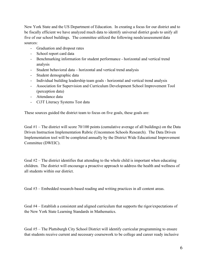New York State and the US Department of Education. In creating a focus for our district and to be fiscally efficient we have analyzed much data to identify universal district goals to unify all five of our school buildings. The committee utilized the following needs/assessment/data sources:

- Graduation and dropout rates
- School report card data
- Benchmarking information for student performance horizontal and vertical trend analysis
- Student behavioral data horizontal and vertical trend analysis
- Student demographic data
- Individual building leadership team goals horizontal and vertical trend analysis
- Association for Supervision and Curriculum Development School Improvement Tool (perception data)
- Attendance data
- Ci3T Literacy Systems Test data

These sources guided the district team to focus on five goals, these goals are:

Goal  $#1$  – The district will score 70/100 points (cumulative average of all buildings) on the Data Driven Instruction Implementation Rubric (Uncommon Schools Research). The Data Driven Implementation tool will be completed annually by the District Wide Educational Improvement Committee (DWEIC).

Goal  $#2$  – The district identifies that attending to the whole child is important when educating children. The district will encourage a proactive approach to address the health and wellness of all students within our district.

Goal #3 – Embedded research-based reading and writing practices in all content areas.

Goal #4 – Establish a consistent and aligned curriculum that supports the rigor/expectations of the New York State Learning Standards in Mathematics.

Goal #5 – The Plattsburgh City School District will identify curricular programming to ensure that students receive current and necessary coursework to be college and career ready inclusive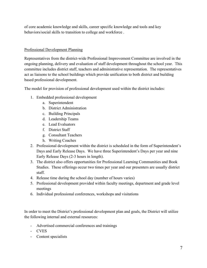of core academic knowledge and skills, career specific knowledge and tools and key behaviors/social skills to transition to college and workforce .

#### Professional Development Planning

Representatives from the district-wide Professional Improvement Committee are involved in the ongoing planning, delivery and evaluation of staff development throughout the school year. This committee includes district staff, teachers and administrative representation. The representatives act as liaisons to the school buildings which provide unification to both district and building based professional development.

The model for provision of professional development used within the district includes:

- 1. Embedded professional development
	- a. Superintendent
	- b. District Administration
	- c. Building Principals
	- d. Leadership Teams
	- e. Lead Evaluators
	- f. District Staff
	- g. Consultant Teachers
	- h. Writing Coaches
- 2. Professional development within the district is scheduled in the form of Superintendent's Days and Early Release Days. We have three Superintendent's Days per year and nine Early Release Days (2-3 hours in length).
- 3. The district also offers opportunities for Professional Learning Communities and Book Studies. These offerings occur two times per year and our presenters are usually district staff.
- 4. Release time during the school day (number of hours varies)
- 5. Professional development provided within faculty meetings, department and grade level meetings
- 6. Individual professional conferences, workshops and visitations

In order to meet the District's professional development plan and goals, the District will utilize the following internal and external resources:

- Advertised commercial conferences and trainings
- CVES
- Content specialists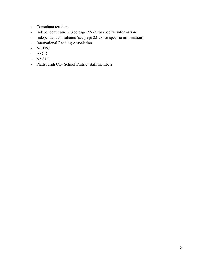- Consultant teachers
- Independent trainers (see page 22-23 for specific information)
- Independent consultants (see page 22-23 for specific information)
- International Reading Association
- NCTRC
- ASCD
- NYSUT
- Plattsburgh City School District staff members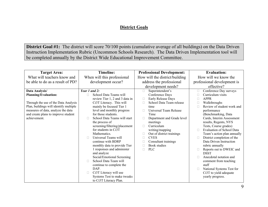### **District Goals**

**District Goal #1:** The district will score 70/100 points (cumulative average of all buildings) on the Data Driven Instruction Implementation Rubric (Uncommon Schools Research). The Data Driven Implementation tool will be completed annually by the District Wide Educational Improvement Committee.

| <b>Target Area:</b>                    | <b>Timeline:</b>               | <b>Professional Development:</b> | <b>Evaluation:</b>               |
|----------------------------------------|--------------------------------|----------------------------------|----------------------------------|
| What will teachers know and            | When will this professional    | How will the district/building   | How will we know the             |
| be able to do as a result of PD?       | development occur?             | address the professional         | professional development is      |
|                                        |                                | development needs?               | effective?                       |
| Data Analysis/                         | Year 1 and 2:                  | Superintendent's<br>$\Box$       | Conference Day surveys           |
| <b>Planning/Evaluation:</b>            | School Data Teams will<br>П    | Conference Days                  | Curriculum visits                |
|                                        | review Tier 1, 2 and 3 data in | Early Release Days<br>$\Box$     | <b>APPR</b>                      |
| Through the use of the Data Analysis   | Ci3T Literacy. This will       | School Data Team release<br>П    | Walkthroughs                     |
| Plan, buildings will identify multiple | mainly be focused Tier 1       | time                             | Review of student work and       |
| measures of data, analyze the data     | level and monthly progress     | Universal Team Release<br>П      | performance                      |
| and create plans to improve student    | for those students.            | Time                             | (Benchmarking, Data              |
| achievement.                           | School Data Teams will start   | Department and Grade level       | Cards, Interim Assessment        |
|                                        | the process of                 | meetings                         | results, Regents, NYS            |
|                                        | screening/filtering/placement  | Curriculum<br>П                  | Tests, Course grades)            |
|                                        | for students in Ci3T           | writing/mapping                  | <b>Evaluation of School Data</b> |
|                                        | Mathematics.                   | Out of district trainings<br>□   | Team's action plan annually      |
|                                        | Universal Teams will<br>П      | <b>CVES</b><br>П                 | District completion of the       |
|                                        | continue with BDRP             | Consultant trainings<br>C        | Data Driven Instruction          |
|                                        | monthly data to provide Tier   | <b>Book studies</b>              | rubric annually                  |
|                                        | 1 responses and administer     | <b>PLC</b><br>$\Box$             | Reports out to DWEIC and         |
|                                        | and analyze                    |                                  | <b>DSST</b>                      |
|                                        | Social/Emotional Screening     |                                  | Anecdotal notation and           |
|                                        | School Data Team will<br>П     |                                  | comment from teaching            |
|                                        | continue to complete the       |                                  | staff                            |
|                                        | DAP.                           |                                  | National Systems Test for        |
|                                        | Ci3T Literacy will use<br>П    |                                  | Ci3T to yield adequate           |
|                                        | Systems Test to make tweaks    |                                  | yearly progress.                 |
|                                        | to Ci3T Literacy Plan.         |                                  |                                  |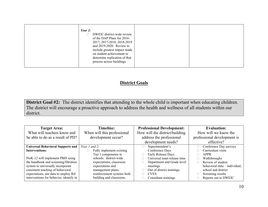| Year $2$ :<br>DWEIC district-wide review<br>of the DAP Plans for 2016-<br>2017, 2017-2018, 2018-2019<br>and 2019-2020. Review to<br>include greatest impact made<br>on student achievement to<br>determine replication of that<br>process across buildings. |  |
|-------------------------------------------------------------------------------------------------------------------------------------------------------------------------------------------------------------------------------------------------------------|--|
|-------------------------------------------------------------------------------------------------------------------------------------------------------------------------------------------------------------------------------------------------------------|--|

### **District Goals**

**District Goal #2:** The district identifies that attending to the whole child is important when educating children. The district will encourage a proactive approach to address the health and wellness of all students within our district.

| <b>Target Area:</b>                      | <b>Timeline:</b>            | <b>Professional Development:</b> | <b>Evaluation:</b>            |
|------------------------------------------|-----------------------------|----------------------------------|-------------------------------|
| What will teachers know and              | When will this professional | How will the district/building   | How will we know the          |
| be able to do as a result of PD?         | development occur?          | address the professional         | professional development is   |
|                                          |                             | development needs?               | effective?                    |
| <b>Universal Behavioral Supports and</b> | Year 1 and 2:               | Superintendent's                 | Conference Day surveys        |
| <b>Interventions:</b>                    | Fully implement existing    | Conference Days                  | Curriculum visits             |
|                                          | Tier 1 components in        | Early Release Days               | APPR                          |
| PreK-12 will implement PBIS using        | schools: district-wide      | Universal team release time      | Walkthroughs                  |
| the handbook and screening/filtration    | expectations, classroom     | Department and Grade level       | Review of student             |
| system to universally incorporate        | expectations and            | meetings                         | behavioral data - individual, |
| consistent teaching of behavioral        | management plans,           | Out of district trainings        | school and district           |
| expectations, use data to employ RtI     | reinforcement systems both  | <b>CVES</b>                      | Screening results             |
| interventions for behavior, identify in  | building and classroom,     | Consultant trainings             | Reports out to DWEIC          |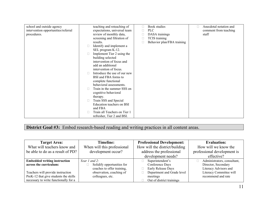| school and outside agency           |          | teaching and reteaching of   | П | Book studies               | Anecdotal notation and |
|-------------------------------------|----------|------------------------------|---|----------------------------|------------------------|
| intervention opportunities/referral |          | expectations, universal team |   | PLC                        | comment from teaching  |
| procedures.                         |          | review of monthly data,      |   | DASA trainings             | staff                  |
|                                     |          | screening and filtration of  |   | TCIS training              |                        |
|                                     | results. |                              |   | Behavior plan/FBA training |                        |
|                                     | $\Box$   | Identify and implement a     |   |                            |                        |
|                                     |          | SEL program K-12.            |   |                            |                        |
|                                     | $\Box$   | Implement Tier 2 using the   |   |                            |                        |
|                                     |          | building selected            |   |                            |                        |
|                                     |          | intervention of focus and    |   |                            |                        |
|                                     |          | add an additional            |   |                            |                        |
|                                     |          | intervention of focus.       |   |                            |                        |
|                                     |          | Introduce the use of our new |   |                            |                        |
|                                     |          | BSI and FBA forms to         |   |                            |                        |
|                                     |          | complete functional          |   |                            |                        |
|                                     |          | behavioral assessments.      |   |                            |                        |
|                                     | П        | Train in the summer SSS on   |   |                            |                        |
|                                     |          | cognitive behavioral         |   |                            |                        |
|                                     | therapy. |                              |   |                            |                        |
|                                     | $\Box$   | Train SSS and Special        |   |                            |                        |
|                                     |          | Education teachers on BSI    |   |                            |                        |
|                                     |          | and FBA                      |   |                            |                        |
|                                     | П        | Train all Teachers on Tier 1 |   |                            |                        |
|                                     |          | refresher, Tier 2 and BSI.   |   |                            |                        |

**District Goal #3:** Embed research-based reading and writing practices in all content areas.

| <b>Target Area:</b>                   | Timeline:                   | <b>Professional Development:</b> | <b>Evaluation:</b>          |
|---------------------------------------|-----------------------------|----------------------------------|-----------------------------|
| What will teachers know and           | When will this professional | How will the district/building   | How will we know the        |
| be able to do as a result of PD?      | development occur?          | address the professional         | professional development is |
|                                       |                             | development needs?               | effective?                  |
| <b>Embedded writing instruction</b>   | Year 1 and 2:               | Superintendent's<br>⊔            | Administrators, consultant, |
| across the curriculum:                | Solidify opportunities for  | Conference Days                  | Director, Secondary         |
|                                       | coaches to offer training,  | Early Release Days<br>$\Box$     | Literacy Advisors and       |
| Teachers will provide instruction     | observation, coaching of    | Department and Grade level       | Literacy Committee will     |
| PreK-12 that give students the skills | colleagues, etc.            | meetings                         | recommend and rate          |
| necessary to write functionally for a |                             | Out of district trainings        |                             |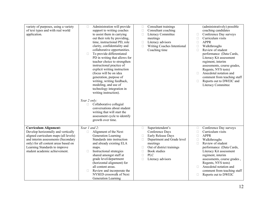| variety of purposes, using a variety<br>of text types and with real world<br>application.                                                                                                                                                                   | Administration will provide<br>П<br>support to writing coaches<br>to assist them in carrying<br>out their role by providing,<br>time, instructional PD, role<br>clarity, confidentiality and<br>collaborative opportunities.<br>To provide differentiated<br>$\Box$<br>PD in writing that allows for<br>teacher choice to strengthen<br>instructional practice of<br>explicit writing instruction<br>(focus will be on idea<br>generation, purpose of<br>writing, writing feedback,<br>modeling, and use of<br>technology integration in<br>writing instruction).<br>Year 2 only:<br>Collaborative collegial<br>□<br>conversations about student<br>writing that will start the<br>assessment cycle to identify<br>growth over time. | Consultant trainings<br>$\Box$<br>Consultant coaching<br>$\Box$<br>Literacy Committee<br>$\Box$<br>meetings<br>Literacy advisors<br>$\Box$<br>$\Box$<br>Writing Coaches Intentional<br>Coaching time                                            | (administratively) possible<br>coaching candidates<br>Conference Day surveys<br>$\Box$<br>Curriculum visits<br>$\Box$<br><b>APPR</b><br>$\Box$<br>Walkthroughs<br>$\Box$<br>Review of student<br>$\Box$<br>performance (Data Cards,<br>Literacy Kit assessment<br>regiment, interim<br>assessments, course grades,<br>Regents, NYS tests)<br>Anecdotal notation and<br>П<br>comment from teaching staff<br>Reports out to DWEIC and<br>Literacy Committee |
|-------------------------------------------------------------------------------------------------------------------------------------------------------------------------------------------------------------------------------------------------------------|--------------------------------------------------------------------------------------------------------------------------------------------------------------------------------------------------------------------------------------------------------------------------------------------------------------------------------------------------------------------------------------------------------------------------------------------------------------------------------------------------------------------------------------------------------------------------------------------------------------------------------------------------------------------------------------------------------------------------------------|-------------------------------------------------------------------------------------------------------------------------------------------------------------------------------------------------------------------------------------------------|-----------------------------------------------------------------------------------------------------------------------------------------------------------------------------------------------------------------------------------------------------------------------------------------------------------------------------------------------------------------------------------------------------------------------------------------------------------|
| <b>Curriculum Alignment:</b><br>Develop horizontally and vertically<br>aligned curriculum maps (all levels)<br>and interim assessments (Secondary<br>only) for all content areas based on<br>Learning Standards to improve<br>student academic achievement. | Year 1 and 2:<br>Alignment of the Next<br>$\Box$<br>Generation Learning<br>Standards into instruction<br>and already existing ELA<br>maps.<br>Instructional strategies<br>П<br>shared amongst staff at<br>grade level/department<br>(horizontal alignment) for<br>all content areas.<br>Review and incorporate the<br>NYSED crosswalk of Next<br>Generation Learning                                                                                                                                                                                                                                                                                                                                                                 | Superintendent's<br>$\Box$<br>Conference Days<br>Early Release Days<br>$\Box$<br>Department and Grade level<br>П<br>meetings<br>Out of district trainings<br>$\Box$<br><b>Book</b> studies<br>□<br>PLC<br>$\Box$<br>Literacy advisors<br>$\Box$ | Conference Day surveys<br>$\Box$<br>Curriculum visits<br>$\Box$<br><b>APPR</b><br>$\Box$<br>Walkthroughs<br>$\Box$<br>Review of student<br>$\Box$<br>performance (Data Cards,<br>Literacy Kit assessment<br>regiment, interim<br>assessments, course grades,<br>Regents, NYS tests)<br>Anecdotal notation and<br>П<br>comment from teaching staff<br>Reports out to DWEIC<br>$\Box$                                                                       |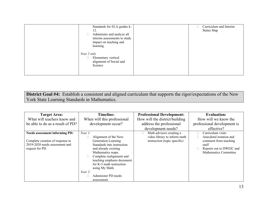| Standards for ELA grades k-<br>12.<br>Administer and analyze all<br>$\Box$<br>interim assessments to study<br>impact on teaching and<br>learning. | Curriculum and Interim<br>Status Map |
|---------------------------------------------------------------------------------------------------------------------------------------------------|--------------------------------------|
| Year 2 only<br>Elementary vertical<br>$\Box$<br>alignment of Social and<br>Science                                                                |                                      |

**District Goal #4:** Establish a consistent and aligned curriculum that supports the rigor/expectations of the New York State Learning Standards in Mathematics.

| <b>Target Area:</b>                   | <b>Timeline:</b>                   | <b>Professional Development:</b>   | <b>Evaluation:</b>          |
|---------------------------------------|------------------------------------|------------------------------------|-----------------------------|
| What will teachers know and           | When will this professional        | How will the district/building     | How will we know the        |
| be able to do as a result of PD?      | development occur?                 | address the professional           | professional development is |
|                                       |                                    | development needs?                 | effective?                  |
| <b>Needs assessment informing PD:</b> | Year $1$ :                         | Math advisors creating a<br>$\Box$ | Curriculum visits           |
|                                       | Alignment of the Next<br>$\Box$    | video library to inform math       | Anecdotal notation and      |
| Complete creation of response to      | Generation Learning                | instruction (topic specific)       | comment from teaching       |
| 2019-2020 needs assessment and        | Standards into instruction         |                                    | staff                       |
| request for PD.                       | and already existing               |                                    | Reports out to DWEIC and    |
|                                       | Mathematics maps.                  |                                    | Mathematics Committee       |
|                                       | Complete realignment and<br>$\Box$ |                                    |                             |
|                                       | teaching emphasis document         |                                    |                             |
|                                       | for K-5 math instruction           |                                    |                             |
|                                       | using My Math.                     |                                    |                             |
|                                       | Year $2$ :                         |                                    |                             |
|                                       | Administer PD needs                |                                    |                             |
|                                       | assessment.                        |                                    |                             |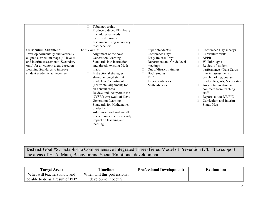| <b>Curriculum Alignment:</b><br>Develop horizontally and vertically                                                                                                                  | Tabulate results.<br>Produce videoed PD library<br>that addresses needs<br>identified through<br>assessment using secondary<br>math teachers.<br>Year 1 and 2:<br>Alignment of the Next                                                                                                                                                                                                                                                                                    | Superintendent's<br>$\Box$<br>Conference Days                                                                                                                                | Conference Day surveys<br>$\Box$<br>Curriculum visits                                                                                                                                                                                                                                                   |
|--------------------------------------------------------------------------------------------------------------------------------------------------------------------------------------|----------------------------------------------------------------------------------------------------------------------------------------------------------------------------------------------------------------------------------------------------------------------------------------------------------------------------------------------------------------------------------------------------------------------------------------------------------------------------|------------------------------------------------------------------------------------------------------------------------------------------------------------------------------|---------------------------------------------------------------------------------------------------------------------------------------------------------------------------------------------------------------------------------------------------------------------------------------------------------|
| aligned curriculum maps (all levels)<br>and interim assessments (Secondary<br>only) for all content areas based on<br>Learning Standards to improve<br>student academic achievement. | Generation Learning<br>Standards into instruction<br>and already existing Math<br>maps.<br>Instructional strategies<br>shared amongst staff at<br>grade level/department<br>(horizontal alignment) for<br>all content areas.<br>Review and incorporate the<br>П<br>NYSED crosswalk of Next<br>Generation Learning<br><b>Standards for Mathematics</b><br>grades k-12.<br>Administer and analyze all<br>interim assessments to study<br>impact on teaching and<br>learning. | Early Release Days<br>П<br>Department and Grade level<br>□<br>meetings<br>Out of district trainings<br><b>Book</b> studies<br>PLC<br>п<br>Literacy advisors<br>Math advisors | <b>APPR</b><br>п<br>Walkthroughs<br>П<br>Review of student<br>П<br>performance (Data Cards,,<br>interim assessments,<br>benchmarking, course<br>grades, Regents, NYS tests)<br>Anecdotal notation and<br>comment from teaching<br>staff<br>Reports out to DWEIC<br>Curriculum and Interim<br>Status Map |

**District Goal #5:** Establish a Comprehensive Integrated Three-Tiered Model of Prevention (CI3T) to support the areas of ELA, Math, Behavior and Social/Emotional development.

| <b>Target Area:</b>              | <b>Timeline:</b>            | <b>Professional Development:</b> | <b>Evaluation:</b> |
|----------------------------------|-----------------------------|----------------------------------|--------------------|
| What will teachers know and      | When will this professional |                                  |                    |
| be able to do as a result of PD? | development occur?          |                                  |                    |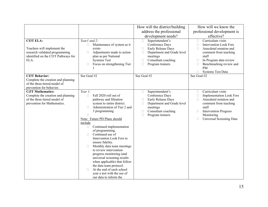|                                                                                                                                  |                                                                                                                                                                                                                                                                                                                                                                                                                                                                                                                                                                                                                                        | How will the district/building                                                                                                                                                              | How will we know the                                                                                                                                                                                                                                                |
|----------------------------------------------------------------------------------------------------------------------------------|----------------------------------------------------------------------------------------------------------------------------------------------------------------------------------------------------------------------------------------------------------------------------------------------------------------------------------------------------------------------------------------------------------------------------------------------------------------------------------------------------------------------------------------------------------------------------------------------------------------------------------------|---------------------------------------------------------------------------------------------------------------------------------------------------------------------------------------------|---------------------------------------------------------------------------------------------------------------------------------------------------------------------------------------------------------------------------------------------------------------------|
|                                                                                                                                  |                                                                                                                                                                                                                                                                                                                                                                                                                                                                                                                                                                                                                                        | address the professional                                                                                                                                                                    | professional development is                                                                                                                                                                                                                                         |
|                                                                                                                                  |                                                                                                                                                                                                                                                                                                                                                                                                                                                                                                                                                                                                                                        | development needs?                                                                                                                                                                          | effective?                                                                                                                                                                                                                                                          |
| <b>CI3T ELA:</b><br>Teachers will implement the<br>research validated programming<br>identified on the CI3T Pathways for<br>ELA. | Year1 and 2:<br>Maintenance of system as it<br>$\Box$<br>exists<br>Adjustments made to action<br>$\Box$<br>plan as per National<br><b>Systems Test</b><br>Focus on strengthening Tier<br>$\Box$                                                                                                                                                                                                                                                                                                                                                                                                                                        | Superintendent's<br>$\Box$<br>Conference Days<br>Early Release Days<br>$\Box$<br>Department and Grade level<br>$\Box$<br>meetings<br>Consultant coaching<br>□<br>Program trainers<br>$\Box$ | Curriculum visits<br>$\Box$<br><b>Intervention Look Fors</b><br>$\Box$<br>$\Box$<br>Anecdotal notation and<br>comment from teaching<br>staff<br>In Program data review<br>$\Box$<br>Benchmarking review and<br>$\Box$<br><b>PM</b><br><b>Systems Test Data</b><br>□ |
| <b>CI3T Behavior:</b><br>Complete the creation and planning<br>of the three-tiered model of<br>prevention for behavior.          | See Goal #2                                                                                                                                                                                                                                                                                                                                                                                                                                                                                                                                                                                                                            | See Goal #2                                                                                                                                                                                 | See Goal #2                                                                                                                                                                                                                                                         |
| <b>Ci3T Mathematics:</b><br>Complete the creation and planning<br>of the three-tiered model of<br>prevention for Mathematics.    | Year $1$ :<br>Fall 2020 roll out of<br>$\Box$<br>pathway and filtration<br>system to entire district.<br>Administration of Tier 2 and<br>П<br>3 programming<br>П<br>Note: Future PD Plans should<br>include<br>Continued implementation<br>$\Box$<br>of programming.<br>Continued use of<br>П<br>Intervention Look Fors to<br>ensure fidelity.<br>Monthly data team meetings<br>$\Box$<br>to review intervention<br>progress monitoring (and<br>universal screening results<br>when applicable) that follow<br>the data team protocol.<br>At the end of each school<br>$\Box$<br>year a test with the use of<br>our data to inform the | Superintendent's<br>$\Box$<br>Conference Days<br>Early Release Days<br>$\Box$<br>Department and Grade level<br>□<br>meetings<br>Consultant coaching<br>$\Box$<br>$\Box$<br>Program trainers | Curriculum visits<br>$\Box$<br><b>Implementation Look Fors</b><br>$\Box$<br>Anecdotal notation and<br>П<br>comment from teaching<br>staff<br><b>Intervention Progress</b><br>$\Box$<br>Monitoring<br>Universal Screening Data<br>$\Box$                             |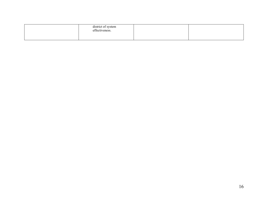| district of system<br>effectiveness. |  |
|--------------------------------------|--|
|                                      |  |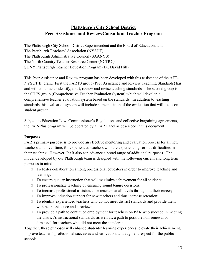## **Plattsburgh City School District Peer Assistance and Review/Consultant Teacher Program**

The Plattsburgh City School District Superintendent and the Board of Education, and The Pattsburgh Teachers' Association (NYSUT) The Plattsburgh Administrative Council (SAANYS) The North Country Teacher Resource Center (NCTRC) SUNY Plattsburgh Teacher Education Program (Dr. David Hill)

This Peer Assistance and Review program has been developed with this assistance of the AFT-NYSUT IF grant. First the PARTS group (Peer Assistance and Review Teaching Standards) has and will continue to identify, draft, review and revise teaching standards. The second group is the CTES group (Comprehensive Teacher Evaluation System) which will develop a comprehensive teacher evaluation system based on the standards. In addition to teaching standards this evaluation system will include some position of the evaluation that will focus on student growth.

Subject to Education Law, Commissioner's Regulations and collective bargaining agreements, the PAR-Plus program will be operated by a PAR Panel as described in this document.

#### **Purposes**

PAR's primary purpose is to provide an effective mentoring and evaluation process for all new teachers and, over time, for experienced teachers who are experiencing serious difficulties in their teaching. However, PAR also can advance a broad range of additional purposes. The model developed by our Plattsburgh team is designed with the following current and long term purposes in mind:

- □ To foster collaboration among professional educators in order to improve teaching and learning;
- $\Box$  To ensure quality instruction that will maximize achievement for all students;
- $\Box$  To professionalize teaching by ensuring sound tenure decisions;
- $\Box$  To increase professional assistance for teachers at all levels throughout their career;
- $\Box$  To improve induction support for new teachers and thus increase retention;
- $\Box$  To identify experienced teachers who do not meet district standards and provide them with peer assistance and a review;
- $\Box$  To provide a path to continued employment for teachers on PAR who succeed in meeting the district's instructional standards, as well as, a path to possible non-renewal or dimsissal for teachers who did not meet the standards.

Together, these purposes will enhance students' learning experiences, elevate their achievement, improve teachers' professional successes and satifcation, and augment respect for the public schools.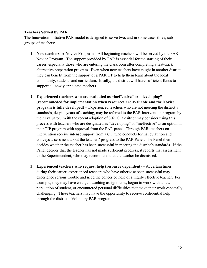#### **Teachers Served by PAR**

The Innovation Initiative PAR model is designed to serve two, and in some cases three, sub groups of teachers:

- 1. **New teachers or Novice Program –** All beginning teachers will be served by the PAR Novice Program. The support provided by PAR is essential for the starting of their career, especially those who are entering the classroom after completing a fast-track alternative preparation program. Even when new teachers have taught in another district, they can benefit from the support of a PAR CT to help them learn about the local community, students and curriculum. Ideally, the district will have sufficient funds to support all newly appointed teachers.
- **2. Experienced teachers who are evaluated as "ineffective" or "developing" (recommneded for implementation when resources are avaliable and the Novice program is fully developed)** – Experienced teachers who are not meeting the district's standards, despite years of teaching, may be referred to the PAR Intervention program by their evaluator. With the recent adoption of 3021C, a dsitrict may consider using this process with teachers who are designated as "developing" or "ineffective" as an option in their TIP program with approval from the PAR panel. Through PAR, teachers on intervention receive intense support from a CT, who conducts formal evlaution and conveys assessment about the teachers' progress to the PAR Panel; The Panel then decides whether the teacher has been successful in meeting the district's standards. If the Panel decides that the teacher has not made sufficient progress, it reports that assessment to the Superintendent, who may recommend that the teacher be dismissed.
- **3. Experienced teachers who request help (resource dependent)** At certain times during their career, experienced teachers who have otherwise been successful may experience serious trouble and need the concerted help of a highly effective teacher. For example, they may have changed teaching assignments, begun to work with a new population of student, or encountered personal difficulties that make their work especially challenging. These teachers may have the opportunity to receive confidential help through the district's Voluntary PAR program.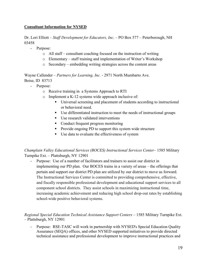#### **Consultant Information for NYSED**

Dr. Lori Elliott – *Staff Development for Educators, Inc.* – PO Box 577 – Peterborough, NH 03458

- Purpose:
	- o All staff consultant coaching focused on the instruction of writing
	- o Elementary staff training and implementation of Writer's Workshop
	- o Secondary embedding writing strategies across the content areas

Wayne Callender – *Partners for Learning, Inc.* - 2971 North Mumbarto Ave. Boise, ID 83713

- Purpose:
	- o Receive training in a Systems Approach to RTI
	- o Implement a K-12 systems wide approach inclusive of:
		- Universal screening and placement of students according to instructional or behavioral need.
		- Use differentiated instruction to meet the needs of instructional groups
		- Use research validated interventions
		- Conduct frequent progress monitoring
		- **Provide ongoing PD to support this system wide structure**
		- Use data to evaluate the effectiveness of system

*Champlain Valley Educational Services (BOCES) Instructional Services Center*– 1585 Military Turnpike Ext. – Plattsburgh, NY 12901

- Purpose: Use of a number of facilitators and trainers to assist our district in implementing our PD plan. Our BOCES trains in a variety of areas – the offerings that pertain and support our district PD plan are utilized by our district to move us forward. The Instructional Services Center is committed to providing comprehensive, effective, and fiscally responsible professional development and educational support services to all component school districts. They assist schools in maximizing instructional time, increasing academic achievement and reducing high school drop-out rates by establishing school-wide positive behavioral systems.

*Regional Special Education Technical Assistance Support Centers* – 1585 Military Turnpike Ext. – Plattsburgh, NY 12901

Purpose: RSE-TASC will work in partnership with NYSED's Special Education Quality Assurance (SEQA) offices, and other NYSED supported initiatives to provide directed technical assistance and professional development to improve instructional practices and